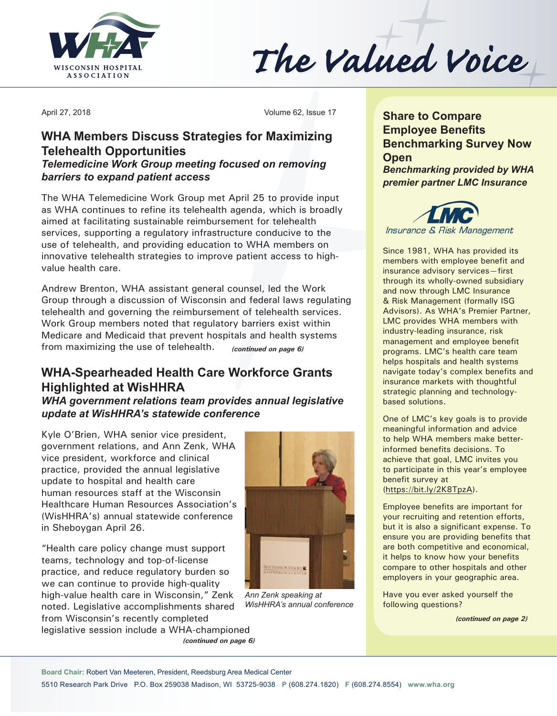

The Valued Voice

April 27, 2018 Volume 62, Issue 17

## **WHA Members Discuss Strategies for Maximizing Telehealth Opportunities**

### *Telemedicine Work Group meeting focused on removing barriers to expand patient access*

The WHA Telemedicine Work Group met April 25 to provide input as WHA continues to refine its telehealth agenda, which is broadly aimed at facilitating sustainable reimbursement for telehealth services, supporting a regulatory infrastructure conducive to the use of telehealth, and providing education to WHA members on innovative telehealth strategies to improve patient access to highvalue health care.

Andrew Brenton, WHA assistant general counsel, led the Work Group through a discussion of Wisconsin and federal laws regulating telehealth and governing the reimbursement of telehealth services. Work Group members noted that regulatory barriers exist within Medicare and Medicaid that prevent hospitals and health systems from maximizing the use of telehealth. *(continued on page 6)*

# **WHA-Spearheaded Health Care Workforce Grants Highlighted at WisHHRA**

*WHA government relations team provides annual legislative update at WisHHRA's statewide conference*

Kyle O'Brien, WHA senior vice president, government relations, and Ann Zenk, WHA vice president, workforce and clinical practice, provided the annual legislative update to hospital and health care human resources staff at the Wisconsin Healthcare Human Resources Association's (WisHHRA's) annual statewide conference in Sheboygan April 26.

"Health care policy change must support teams, technology and top-of-license practice, and reduce regulatory burden so we can continue to provide high-quality high-value health care in Wisconsin," Zenk noted. Legislative accomplishments shared from Wisconsin's recently completed legislative session include a WHA-championed *(continued on page 6)*



*Ann Zenk speaking at WisHHRA's annual conference*

**Share to Compare Employee Benefits Benchmarking Survey Now Open** *Benchmarking provided by WHA premier partner LMC Insurance*



Since 1981, WHA has provided its members with employee benefit and insurance advisory services—first through its wholly-owned subsidiary and now through LMC Insurance & Risk Management (formally ISG Advisors). As WHA's Premier Partner, LMC provides WHA members with industry-leading insurance, risk management and employee benefit programs. LMC's health care team helps hospitals and health systems navigate today's complex benefits and insurance markets with thoughtful strategic planning and technologybased solutions.

One of LMC's key goals is to provide meaningful information and advice to help WHA members make betterinformed benefits decisions. To achieve that goal, LMC invites you to participate in this year's employee benefit survey at [\(https://bit.ly/2K8TpzA\)](https://bit.ly/2K8TpzA).

Employee benefits are important for your recruiting and retention efforts, but it is also a significant expense. To ensure you are providing benefits that are both competitive and economical, it helps to know how your benefits compare to other hospitals and other employers in your geographic area.

Have you ever asked yourself the following questions?

*(continued on page 2)*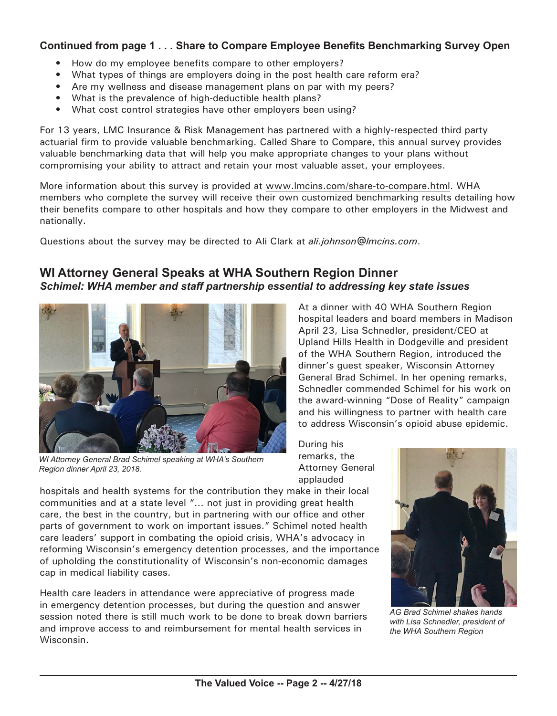### **Continued from page 1 . . . Share to Compare Employee Benefits Benchmarking Survey Open**

- How do my employee benefits compare to other employers?
- What types of things are employers doing in the post health care reform era?
- Are my wellness and disease management plans on par with my peers?
- What is the prevalence of high-deductible health plans?
- What cost control strategies have other employers been using?

For 13 years, LMC Insurance & Risk Management has partnered with a highly-respected third party actuarial firm to provide valuable benchmarking. Called Share to Compare, this annual survey provides valuable benchmarking data that will help you make appropriate changes to your plans without compromising your ability to attract and retain your most valuable asset, your employees.

More information about this survey is provided at [www.lmcins.com/share-to-compare.html](http://www.lmcins.com/share-to-compare.html). WHA members who complete the survey will receive their own customized benchmarking results detailing how their benefits compare to other hospitals and how they compare to other employers in the Midwest and nationally.

Questions about the survey may be directed to Ali Clark at *[ali.johnson@lmcins.com](mailto:ali.johnson@lmcins.com)*.

### **WI Attorney General Speaks at WHA Southern Region Dinner** *Schimel: WHA member and staff partnership essential to addressing key state issues*



*WI Attorney General Brad Schimel speaking at WHA's Southern Region dinner April 23, 2018.*

At a dinner with 40 WHA Southern Region hospital leaders and board members in Madison April 23, Lisa Schnedler, president/CEO at Upland Hills Health in Dodgeville and president of the WHA Southern Region, introduced the dinner's guest speaker, Wisconsin Attorney General Brad Schimel. In her opening remarks, Schnedler commended Schimel for his work on the award-winning "Dose of Reality" campaign and his willingness to partner with health care to address Wisconsin's opioid abuse epidemic.

During his remarks, the Attorney General applauded

hospitals and health systems for the contribution they make in their local communities and at a state level "… not just in providing great health care, the best in the country, but in partnering with our office and other parts of government to work on important issues." Schimel noted health care leaders' support in combating the opioid crisis, WHA's advocacy in reforming Wisconsin's emergency detention processes, and the importance of upholding the constitutionality of Wisconsin's non-economic damages cap in medical liability cases.

Health care leaders in attendance were appreciative of progress made in emergency detention processes, but during the question and answer session noted there is still much work to be done to break down barriers and improve access to and reimbursement for mental health services in Wisconsin.



*AG Brad Schimel shakes hands with Lisa Schnedler, president of the WHA Southern Region*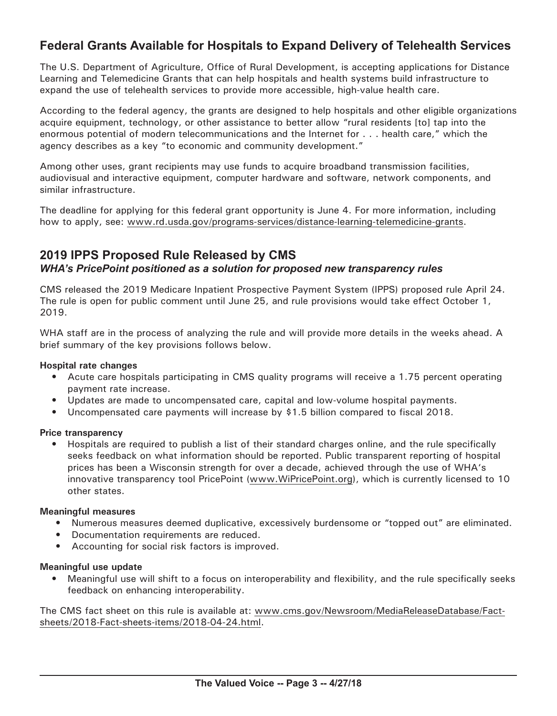## **Federal Grants Available for Hospitals to Expand Delivery of Telehealth Services**

The U.S. Department of Agriculture, Office of Rural Development, is accepting applications for Distance Learning and Telemedicine Grants that can help hospitals and health systems build infrastructure to expand the use of telehealth services to provide more accessible, high-value health care.

According to the federal agency, the grants are designed to help hospitals and other eligible organizations acquire equipment, technology, or other assistance to better allow "rural residents [to] tap into the enormous potential of modern telecommunications and the Internet for . . . health care," which the agency describes as a key "to economic and community development."

Among other uses, grant recipients may use funds to acquire broadband transmission facilities, audiovisual and interactive equipment, computer hardware and software, network components, and similar infrastructure.

The deadline for applying for this federal grant opportunity is June 4. For more information, including how to apply, see: [www.rd.usda.gov/programs-services/distance](http://www.rd.usda.gov/programs-services/distance-learning-telemedicine-grants)-learning-telemedicine-grants.

### **2019 IPPS Proposed Rule Released by CMS** *WHA's PricePoint positioned as a solution for proposed new transparency rules*

CMS released the 2019 Medicare Inpatient Prospective Payment System (IPPS) proposed rule April 24. The rule is open for public comment until June 25, and rule provisions would take effect October 1, 2019.

WHA staff are in the process of analyzing the rule and will provide more details in the weeks ahead. A brief summary of the key provisions follows below.

#### **Hospital rate changes**

- Acute care hospitals participating in CMS quality programs will receive a 1.75 percent operating payment rate increase.
- Updates are made to uncompensated care, capital and low-volume hospital payments.
- Uncompensated care payments will increase by \$1.5 billion compared to fiscal 2018.

#### **Price transparency**

• Hospitals are required to publish a list of their standard charges online, and the rule specifically seeks feedback on what information should be reported. Public transparent reporting of hospital prices has been a Wisconsin strength for over a decade, achieved through the use of WHA's innovative transparency tool PricePoint [\(www.WiPricePoint.org\)](http://www.WiPricePoint.org), which is currently licensed to 10 other states.

#### **Meaningful measures**

- Numerous measures deemed duplicative, excessively burdensome or "topped out" are eliminated.
- Documentation requirements are reduced.
- Accounting for social risk factors is improved.

#### **Meaningful use update**

• Meaningful use will shift to a focus on interoperability and flexibility, and the rule specifically seeks feedback on enhancing interoperability.

The CMS fact sheet on this rule is available at: [www.cms.gov/Newsroom/MediaReleaseDatabase/Fact](http://www.cms.gov/Newsroom/MediaReleaseDatabase/Fact-sheets/2018-Fact-sheets-items/2018-04-24.html)[sheets/2018-Fact-sheets-items/2018-04-24.html](http://www.cms.gov/Newsroom/MediaReleaseDatabase/Fact-sheets/2018-Fact-sheets-items/2018-04-24.html).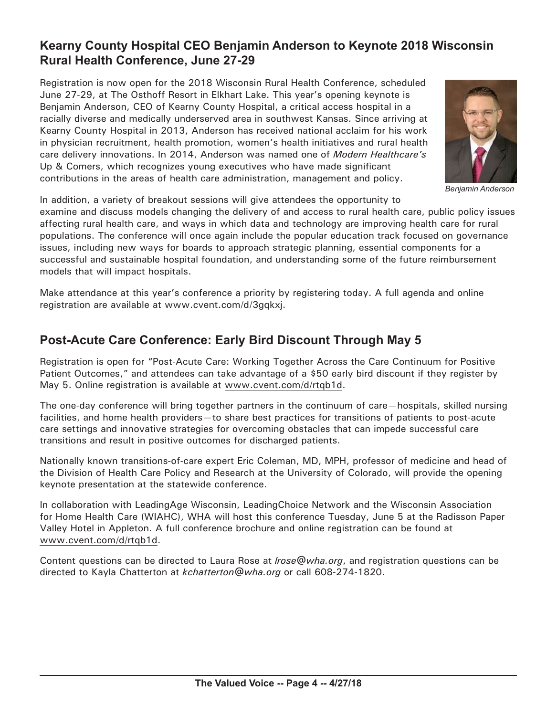## **Kearny County Hospital CEO Benjamin Anderson to Keynote 2018 Wisconsin Rural Health Conference, June 27-29**

Registration is now open for the 2018 Wisconsin Rural Health Conference, scheduled June 27-29, at The Osthoff Resort in Elkhart Lake. This year's opening keynote is Benjamin Anderson, CEO of Kearny County Hospital, a critical access hospital in a racially diverse and medically underserved area in southwest Kansas. Since arriving at Kearny County Hospital in 2013, Anderson has received national acclaim for his work in physician recruitment, health promotion, women's health initiatives and rural health care delivery innovations. In 2014, Anderson was named one of *Modern Healthcare's* Up & Comers, which recognizes young executives who have made significant contributions in the areas of health care administration, management and policy.



*Benjamin Anderson*

In addition, a variety of breakout sessions will give attendees the opportunity to

examine and discuss models changing the delivery of and access to rural health care, public policy issues affecting rural health care, and ways in which data and technology are improving health care for rural populations. The conference will once again include the popular education track focused on governance issues, including new ways for boards to approach strategic planning, essential components for a successful and sustainable hospital foundation, and understanding some of the future reimbursement models that will impact hospitals.

Make attendance at this year's conference a priority by registering today. A full agenda and online registration are available at [www.cvent.com/](http://www.cvent.com/d/3gqkx)d/3gqkxj.

# **Post-Acute Care Conference: Early Bird Discount Through May 5**

Registration is open for "Post-Acute Care: Working Together Across the Care Continuum for Positive Patient Outcomes," and attendees can take advantage of a \$50 early bird discount if they register by May 5. Online registration is available at [www.cvent.com/d/rtqb](http://www.cvent.com/d/rtqb1d)1d.

The one-day conference will bring together partners in the continuum of care—hospitals, skilled nursing facilities, and home health providers—to share best practices for transitions of patients to post-acute care settings and innovative strategies for overcoming obstacles that can impede successful care transitions and result in positive outcomes for discharged patients.

Nationally known transitions-of-care expert Eric Coleman, MD, MPH, professor of medicine and head of the Division of Health Care Policy and Research at the University of Colorado, will provide the opening keynote presentation at the statewide conference.

In collaboration with LeadingAge Wisconsin, LeadingChoice Network and the Wisconsin Association for Home Health Care (WIAHC), WHA will host this conference Tuesday, June 5 at the Radisson Paper Valley Hotel in Appleton. A full conference brochure and online registration can be found at [www.cvent.com/d/rtqb1](http://www.cvent.com/d/rtqb1d)d.

Content questions can be directed to Laura Rose at *[lrose@wha.org](mailto:lrose@wha.org)*, and registration questions can be directed to Kayla Chatterton at *[kchatterton@wha.org](mailto:kchatterton@wha.org)* or call 608-274-1820.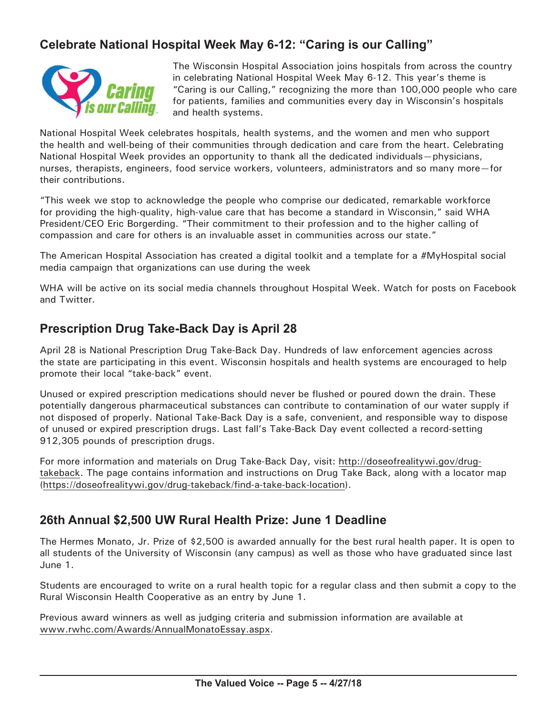# **Celebrate National Hospital Week May 6-12: "Caring is our Calling"**



The Wisconsin Hospital Association joins hospitals from across the country in celebrating National Hospital Week May 6-12. This year's theme is "Caring is our Calling," recognizing the more than 100,000 people who care for patients, families and communities every day in Wisconsin's hospitals and health systems.

National Hospital Week celebrates hospitals, health systems, and the women and men who support the health and well-being of their communities through dedication and care from the heart. Celebrating National Hospital Week provides an opportunity to thank all the dedicated individuals—physicians, nurses, therapists, engineers, food service workers, volunteers, administrators and so many more—for their contributions.

"This week we stop to acknowledge the people who comprise our dedicated, remarkable workforce for providing the high-quality, high-value care that has become a standard in Wisconsin," said WHA President/CEO Eric Borgerding. "Their commitment to their profession and to the higher calling of compassion and care for others is an invaluable asset in communities across our state."

The American Hospital Association has created a digital toolkit and a template for a #MyHospital social media campaign that organizations can use during the week

WHA will be active on its social media channels throughout Hospital Week. Watch for posts on Facebook and Twitter.

## **Prescription Drug Take-Back Day is April 28**

April 28 is National Prescription Drug Take-Back Day. Hundreds of law enforcement agencies across the state are participating in this event. Wisconsin hospitals and health systems are encouraged to help promote their local "take-back" event.

Unused or expired prescription medications should never be flushed or poured down the drain. These potentially dangerous pharmaceutical substances can contribute to contamination of our water supply if not disposed of properly. National Take-Back Day is a safe, convenient, and responsible way to dispose of unused or expired prescription drugs. Last fall's Take-Back Day event collected a record-setting 912,305 pounds of prescription drugs.

For more information and materials on Drug Take-Back Day, visit: [http://doseofrealitywi.gov/drug](http://doseofrealitywi.gov/drug-takeback)takeback. The page contains information and instructions on Drug Take Back, along with a locator map ([https://doseofrealitywi.gov/drug-takeback/find](https://doseofrealitywi.gov/drug-takeback/find-a-take-back-location)-a-take-back-location).

## **26th Annual \$2,500 UW Rural Health Prize: June 1 Deadline**

The Hermes Monato, Jr. Prize of \$2,500 is awarded annually for the best rural health paper. It is open to all students of the University of Wisconsin (any campus) as well as those who have graduated since last June 1.

Students are encouraged to write on a rural health topic for a regular class and then submit a copy to the Rural Wisconsin Health Cooperative as an entry by June 1.

Previous award winners as well as judging criteria and submission information are available at [www.rwhc.com/Awards/AnnualMonatoEssay.aspx](http://www.rwhc.com/Awards/AnnualMonatoEssay.aspx).